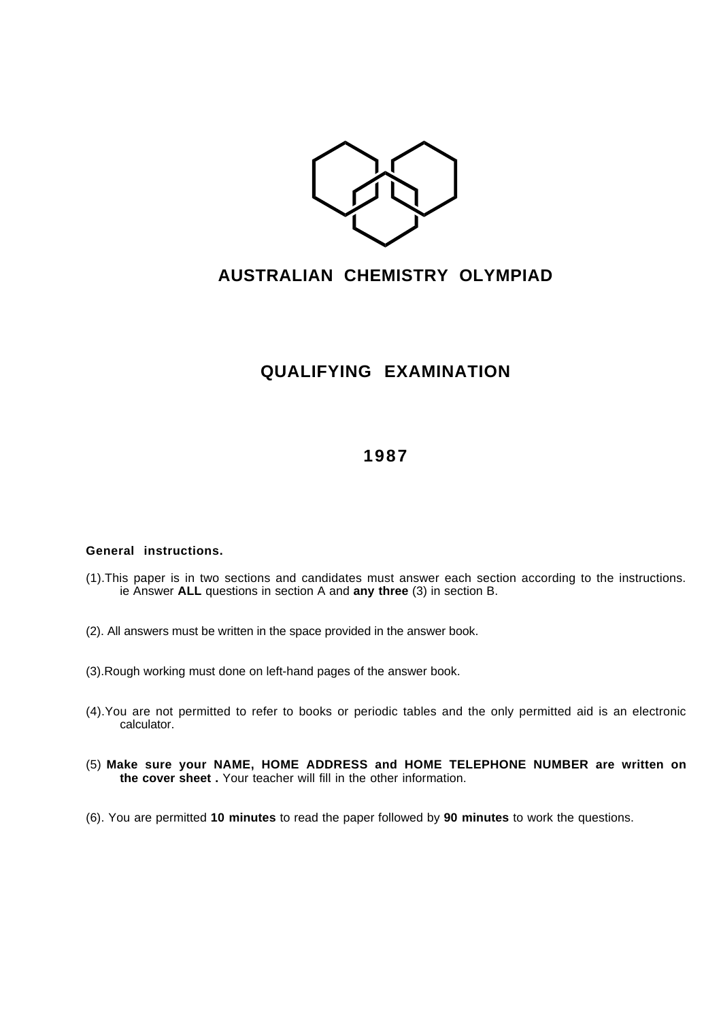

## **AUSTRALIAN CHEMISTRY OLYMPIAD**

## **QUALIFYING EXAMINATION**

## **1987**

## **General instructions.**

- (1).This paper is in two sections and candidates must answer each section according to the instructions. ie Answer **ALL** questions in section A and **any three** (3) in section B.
- (2). All answers must be written in the space provided in the answer book.
- (3).Rough working must done on left-hand pages of the answer book.
- (4).You are not permitted to refer to books or periodic tables and the only permitted aid is an electronic calculator.
- (5) **Make sure your NAME, HOME ADDRESS and HOME TELEPHONE NUMBER are written on the cover sheet .** Your teacher will fill in the other information.
- (6). You are permitted **10 minutes** to read the paper followed by **90 minutes** to work the questions.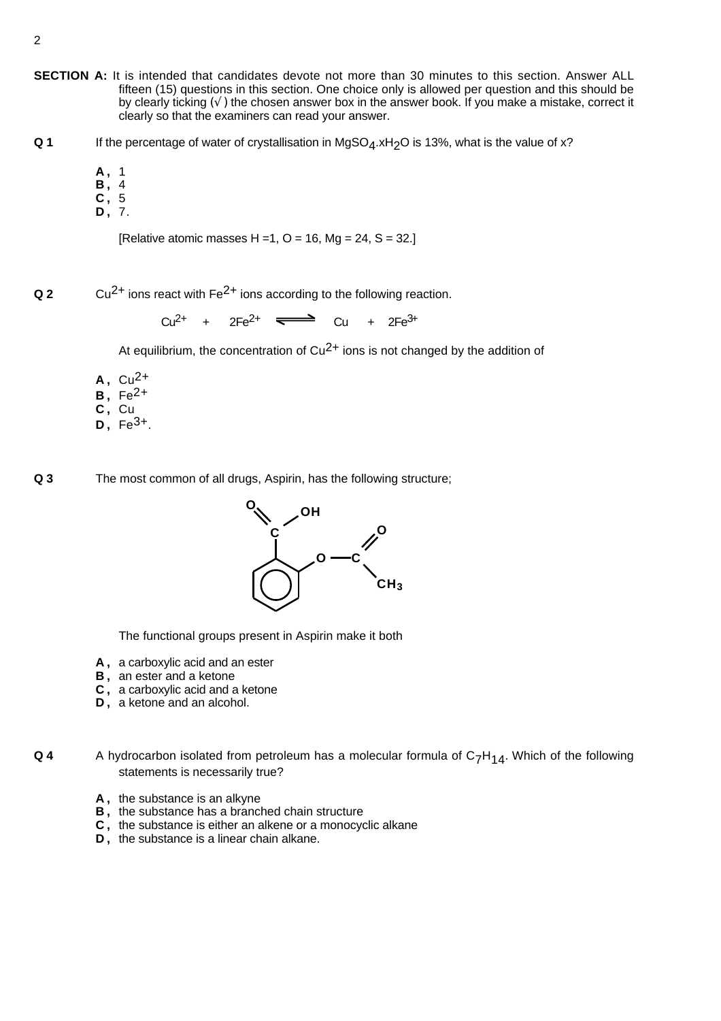- **SECTION A:** It is intended that candidates devote not more than 30 minutes to this section. Answer ALL fifteen (15) questions in this section. One choice only is allowed per question and this should be by clearly ticking  $(\sqrt{})$  the chosen answer box in the answer book. If you make a mistake, correct it clearly so that the examiners can read your answer.
- **Q 1** If the percentage of water of crystallisation in MgSO<sub>4</sub>.xH<sub>2</sub>O is 13%, what is the value of x?
	- **A ,** 1
	- **B ,** 4
	- **C ,** 5
	- **D ,** 7.

[Relative atomic masses H = 1, O = 16, Mg = 24, S = 32.]

**Q 2** Cu<sup>2+</sup> ions react with Fe<sup>2+</sup> ions according to the following reaction.

 $Cu^{2+}$  +  $2Fe^{2+}$   $\Longleftrightarrow$   $Cu$  +  $2Fe^{3+}$ 

At equilibrium, the concentration of  $Cu^{2+}$  ions is not changed by the addition of

- $A, Cu<sup>2+</sup>$
- **B ,** Fe2+
- **C ,** Cu
- $D. \ \text{Fe}^{3+}$

**Q 3** The most common of all drugs, Aspirin, has the following structure;



The functional groups present in Aspirin make it both

- **A ,** a carboxylic acid and an ester
- **B ,** an ester and a ketone
- **C ,** a carboxylic acid and a ketone
- **D ,** a ketone and an alcohol.

**Q 4** A hydrocarbon isolated from petroleum has a molecular formula of C<sub>7</sub>H<sub>14</sub>. Which of the following statements is necessarily true?

- **A ,** the substance is an alkyne
- **B ,** the substance has a branched chain structure
- **C ,** the substance is either an alkene or a monocyclic alkane
- **D ,** the substance is a linear chain alkane.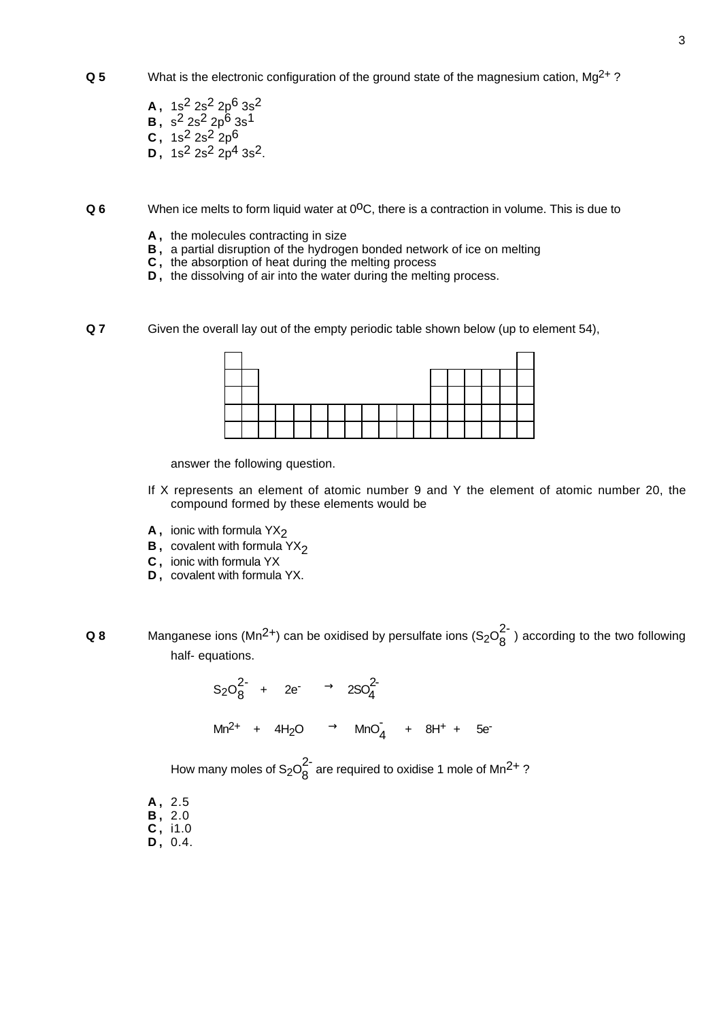- $\alpha$  5 What is the electronic configuration of the ground state of the magnesium cation, Mg<sup>2+</sup>?
	- **A ,** 1s2 2s2 2p6 3s2 **B**,  $s^2 2s^2 2p^6 3s^1$ **C**, 1s<sup>2</sup> 2s<sup>2</sup> 2p<sup>6</sup> **D**,  $1s^2 2s^2 2p^4 3s^2$ .
- **Q 6** When ice melts to form liquid water at 0<sup>o</sup>C, there is a contraction in volume. This is due to
	- **A ,** the molecules contracting in size
	- **B ,** a partial disruption of the hydrogen bonded network of ice on melting
	- **C ,** the absorption of heat during the melting process
	- **D**, the dissolving of air into the water during the melting process.
- **Q 7** Given the overall lay out of the empty periodic table shown below (up to element 54),

answer the following question.

- If X represents an element of atomic number 9 and Y the element of atomic number 20, the compound formed by these elements would be
- **A**, ionic with formula YX<sub>2</sub>
- **B**, covalent with formula YX<sub>2</sub>
- **C ,** ionic with formula YX
- **D ,** covalent with formula YX.
- **Q 8** Manganese ions (Mn<sup>2+</sup>) can be oxidised by persulfate ions (S<sub>2</sub>O<sub>8</sub><sup>2</sup>) according to the two following half- equations.

$$
S_2O_8^{2-} + 2e^- \longrightarrow 2SO_4^{2-}
$$
  
\n
$$
Mn^{2+} + 4H_2O \longrightarrow MnO_4^- + 8H^+ + 5e^-
$$

How many moles of S<sub>2</sub>O $_8^2$  are required to oxidise 1 mole of Mn<sup>2+</sup> ?

- **A ,** 2.5 **B ,** 2.0
- **C ,** i1.0
- **D ,** 0.4.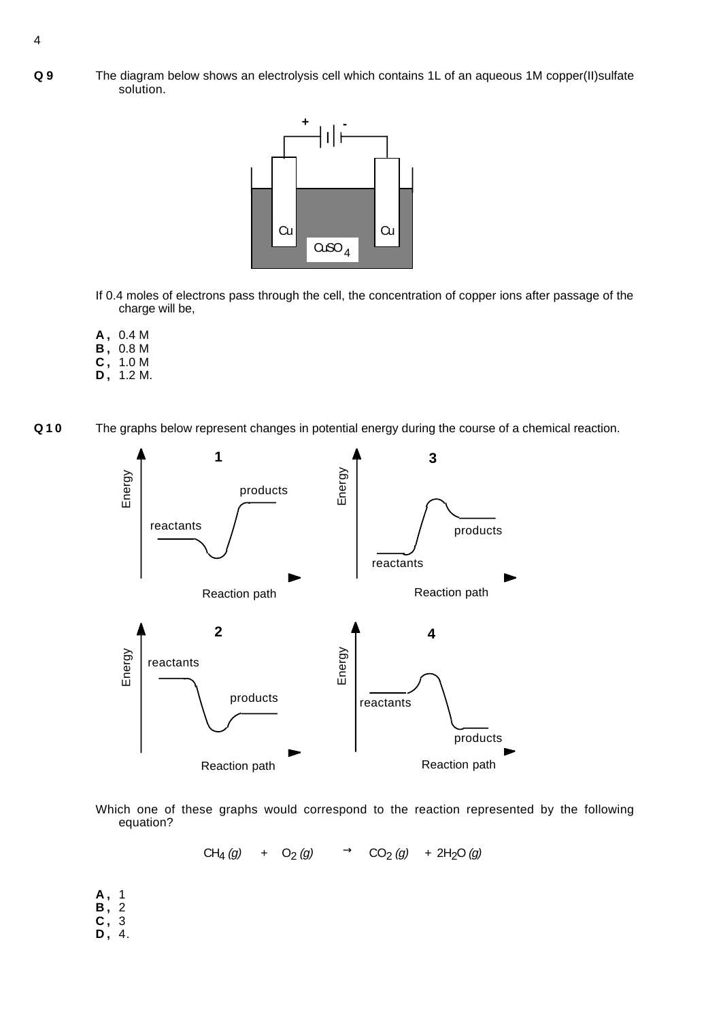**Q 9** The diagram below shows an electrolysis cell which contains 1L of an aqueous 1M copper(II)sulfate solution.



- If 0.4 moles of electrons pass through the cell, the concentration of copper ions after passage of the charge will be,
- **A ,** 0.4 M
- **B ,** 0.8 M
- **C ,** 1.0 M
- **D ,** 1.2 M.
- **Q10** The graphs below represent changes in potential energy during the course of a chemical reaction.



Which one of these graphs would correspond to the reaction represented by the following equation?

CH<sub>4</sub> (g) + O<sub>2</sub> (g)  $\longrightarrow$  CO<sub>2</sub> (g) + 2H<sub>2</sub>O (g)

**A ,** 1 **B ,** 2 **C ,** 3 **D ,** 4.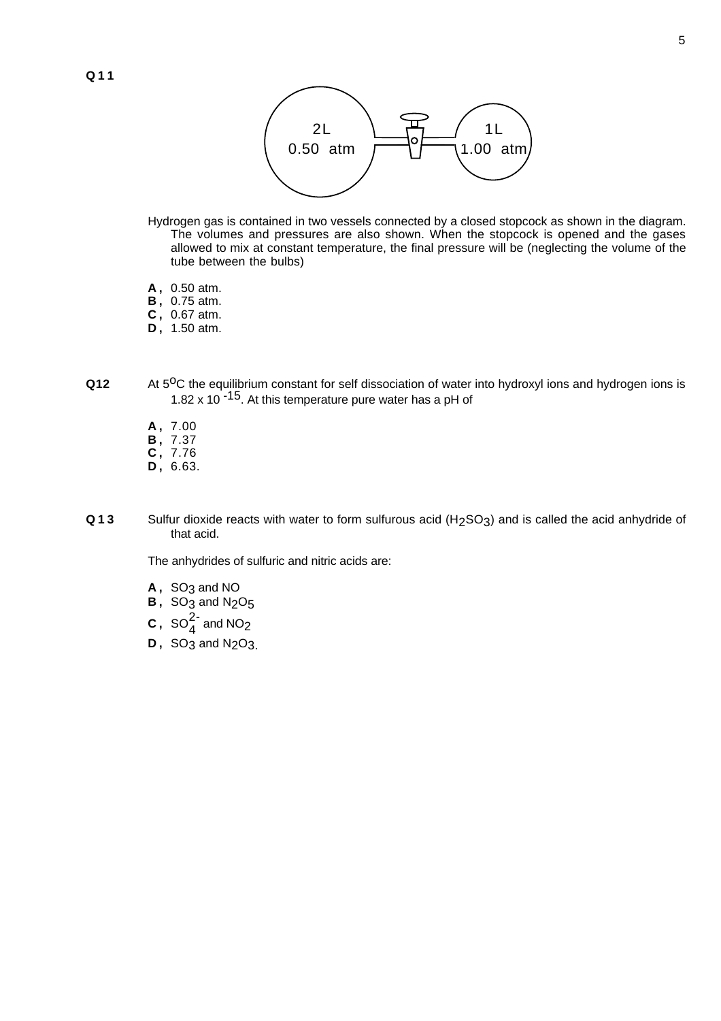

- Hydrogen gas is contained in two vessels connected by a closed stopcock as shown in the diagram. The volumes and pressures are also shown. When the stopcock is opened and the gases allowed to mix at constant temperature, the final pressure will be (neglecting the volume of the tube between the bulbs)
- **A ,** 0.50 atm.
- **B ,** 0.75 atm.
- **C ,** 0.67 atm.
- **D ,** 1.50 atm.
- **Q12** At 5<sup>o</sup>C the equilibrium constant for self dissociation of water into hydroxyl ions and hydrogen ions is 1.82 x 10<sup>-15</sup>. At this temperature pure water has a pH of
	- **A ,** 7.00
	- **B ,** 7.37
	- **C ,** 7.76
	- **D ,** 6.63.
- **Q13** Sulfur dioxide reacts with water to form sulfurous acid (H2SO3) and is called the acid anhydride of that acid.

The anhydrides of sulfuric and nitric acids are:

- A, SO<sub>3</sub> and NO
- **B**, SO<sub>3</sub> and N<sub>2</sub>O<sub>5</sub>
- **C**,  $SO_4^{2-}$  and NO<sub>2</sub>
- **D**, SO<sub>3</sub> and N<sub>2</sub>O<sub>3</sub>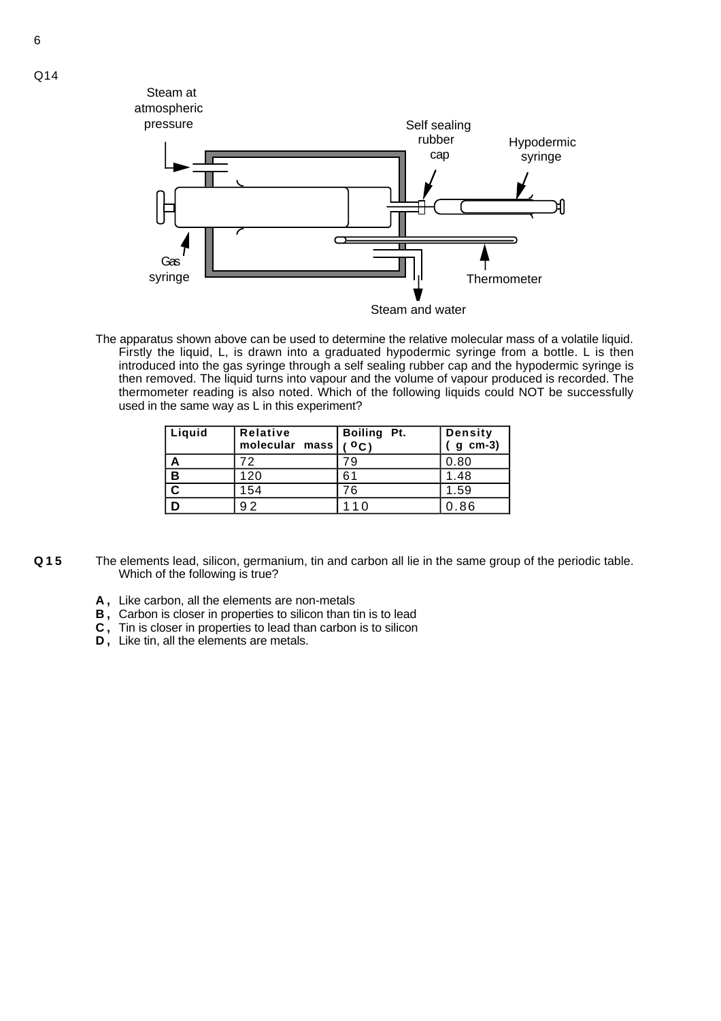

The apparatus shown above can be used to determine the relative molecular mass of a volatile liquid. Firstly the liquid, L, is drawn into a graduated hypodermic syringe from a bottle. L is then introduced into the gas syringe through a self sealing rubber cap and the hypodermic syringe is then removed. The liquid turns into vapour and the volume of vapour produced is recorded. The thermometer reading is also noted. Which of the following liquids could NOT be successfully used in the same way as L in this experiment?

| Liquid                  | Relative<br>molecular mass | Boiling Pt.<br>$^{\circ}$ C) | <b>Density</b><br>$g$ cm-3) |
|-------------------------|----------------------------|------------------------------|-----------------------------|
| A                       | フワ                         | 79                           | 0.80                        |
| B                       | 120                        | 61                           | 1.48                        |
| $\overline{\mathbf{c}}$ | 154                        | 76                           | 1.59                        |
|                         | 92                         | _1 በ                         | 0.86                        |

- **Q15** The elements lead, silicon, germanium, tin and carbon all lie in the same group of the periodic table. Which of the following is true?
	- **A ,** Like carbon, all the elements are non-metals
	- **B ,** Carbon is closer in properties to silicon than tin is to lead
	- **C ,** Tin is closer in properties to lead than carbon is to silicon
	- **D ,** Like tin, all the elements are metals.

Q14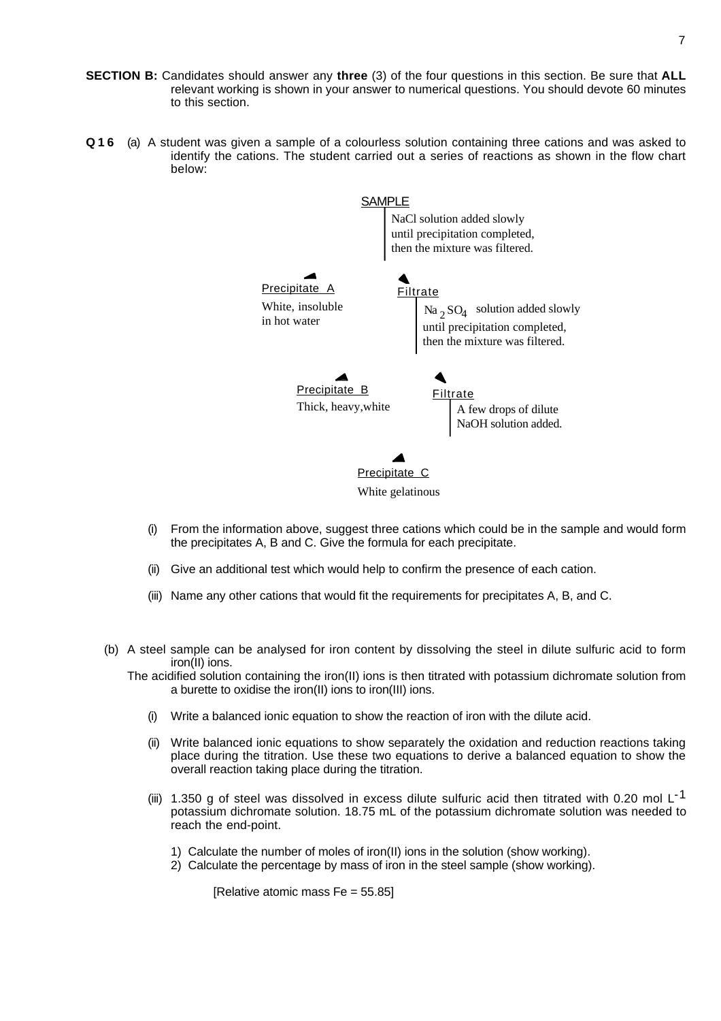- **SECTION B:** Candidates should answer any **three** (3) of the four questions in this section. Be sure that **ALL** relevant working is shown in your answer to numerical questions. You should devote 60 minutes to this section.
- **Q16** (a) A student was given a sample of a colourless solution containing three cations and was asked to identify the cations. The student carried out a series of reactions as shown in the flow chart below:



- (i) From the information above, suggest three cations which could be in the sample and would form the precipitates A, B and C. Give the formula for each precipitate.
- (ii) Give an additional test which would help to confirm the presence of each cation.
- (iii) Name any other cations that would fit the requirements for precipitates A, B, and C.
- (b) A steel sample can be analysed for iron content by dissolving the steel in dilute sulfuric acid to form iron(II) ions.

The acidified solution containing the iron(II) ions is then titrated with potassium dichromate solution from a burette to oxidise the iron(II) ions to iron(III) ions.

- (i) Write a balanced ionic equation to show the reaction of iron with the dilute acid.
- (ii) Write balanced ionic equations to show separately the oxidation and reduction reactions taking place during the titration. Use these two equations to derive a balanced equation to show the overall reaction taking place during the titration.
- (iii) 1.350 g of steel was dissolved in excess dilute sulfuric acid then titrated with 0.20 mol L<sup>-1</sup> potassium dichromate solution. 18.75 mL of the potassium dichromate solution was needed to reach the end-point.
	- 1) Calculate the number of moles of iron(II) ions in the solution (show working).
	- 2) Calculate the percentage by mass of iron in the steel sample (show working).

[Relative atomic mass Fe = 55.85]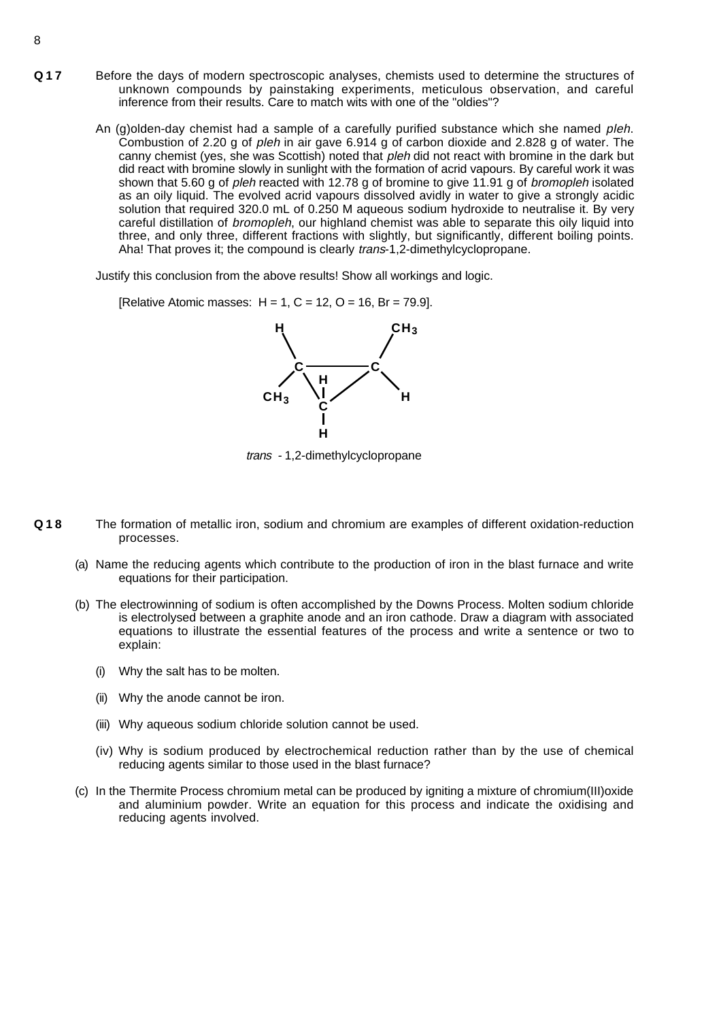- **Q17** Before the days of modern spectroscopic analyses, chemists used to determine the structures of unknown compounds by painstaking experiments, meticulous observation, and careful inference from their results. Care to match wits with one of the "oldies"?
	- An (g)olden-day chemist had a sample of a carefully purified substance which she named *pleh*. Combustion of 2.20 g of *pleh* in air gave 6.914 g of carbon dioxide and 2.828 g of water. The canny chemist (yes, she was Scottish) noted that *pleh* did not react with bromine in the dark but did react with bromine slowly in sunlight with the formation of acrid vapours. By careful work it was shown that 5.60 g of *pleh* reacted with 12.78 g of bromine to give 11.91 g of *bromopleh* isolated as an oily liquid. The evolved acrid vapours dissolved avidly in water to give a strongly acidic solution that required 320.0 mL of 0.250 M aqueous sodium hydroxide to neutralise it. By very careful distillation of bromopleh, our highland chemist was able to separate this oily liquid into three, and only three, different fractions with slightly, but significantly, different boiling points. Aha! That proves it; the compound is clearly *trans-1,2-dimethylcyclopropane.*

Justify this conclusion from the above results! Show all workings and logic.

**IRelative Atomic masses:**  $H = 1$ **,**  $C = 12$ **,**  $O = 16$ **,**  $Br = 79.9$ **].** 



trans - 1,2-dimethylcyclopropane

- **Q18** The formation of metallic iron, sodium and chromium are examples of different oxidation-reduction processes.
	- (a) Name the reducing agents which contribute to the production of iron in the blast furnace and write equations for their participation.
	- (b) The electrowinning of sodium is often accomplished by the Downs Process. Molten sodium chloride is electrolysed between a graphite anode and an iron cathode. Draw a diagram with associated equations to illustrate the essential features of the process and write a sentence or two to explain:
		- (i) Why the salt has to be molten.
		- (ii) Why the anode cannot be iron.
		- (iii) Why aqueous sodium chloride solution cannot be used.
		- (iv) Why is sodium produced by electrochemical reduction rather than by the use of chemical reducing agents similar to those used in the blast furnace?
	- (c) In the Thermite Process chromium metal can be produced by igniting a mixture of chromium(III)oxide and aluminium powder. Write an equation for this process and indicate the oxidising and reducing agents involved.